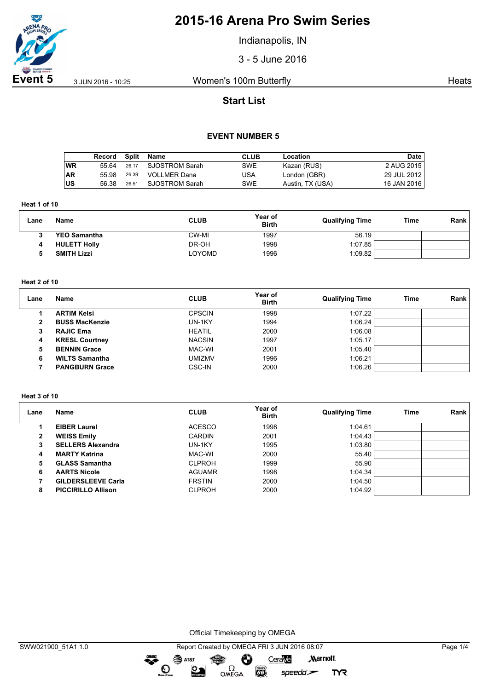

Indianapolis, IN

3 - 5 June 2016

**Event 5** 3 JUN 2016 - 10:25 Women's 100m Butterfly **Southern Streets** Heats

## **Start List**

### **EVENT NUMBER 5**

|           | Record | Split | Name           | CLUB | Location         | Date        |
|-----------|--------|-------|----------------|------|------------------|-------------|
| WR        | 55 64  | 26.17 | SJOSTROM Sarah | SWE  | Kazan (RUS)      | 2 AUG 2015  |
| <b>AR</b> | 55.98  | 26.39 | VOLLMER Dana   | USA  | London (GBR)     | 29 JUL 2012 |
| ∣US       | 56.38  | 26.51 | SJOSTROM Sarah | SWE  | Austin, TX (USA) | 16 JAN 2016 |

**Heat 1 of 10**

| Lane | <b>Name</b>         | <b>CLUB</b> | Year of<br><b>Birth</b> | <b>Qualifying Time</b> | Time | Rank |
|------|---------------------|-------------|-------------------------|------------------------|------|------|
|      | <b>YEO Samantha</b> | CW-MI       | 1997                    | 56.19                  |      |      |
|      | <b>HULETT Holly</b> | DR-OH       | 1998                    | 1:07.85                |      |      |
|      | <b>SMITH Lizzi</b>  | LOYOMD      | 1996                    | 1:09.82                |      |      |

#### **Heat 2 of 10**

| Lane | Name                  | <b>CLUB</b>   | Year of<br><b>Birth</b> | <b>Qualifying Time</b> | Time | Rank |
|------|-----------------------|---------------|-------------------------|------------------------|------|------|
|      | <b>ARTIM Kelsi</b>    | <b>CPSCIN</b> | 1998                    | 1:07.22                |      |      |
| 2    | <b>BUSS MacKenzie</b> | UN-1KY        | 1994                    | 1:06.24                |      |      |
| 3    | <b>RAJIC Ema</b>      | <b>HEATIL</b> | 2000                    | 1:06.08                |      |      |
| 4    | <b>KRESL Courtney</b> | <b>NACSIN</b> | 1997                    | 1:05.17                |      |      |
| 5    | <b>BENNIN Grace</b>   | MAC-WI        | 2001                    | 1:05.40                |      |      |
| 6    | <b>WILTS Samantha</b> | <b>UMIZMV</b> | 1996                    | 1:06.21                |      |      |
|      | <b>PANGBURN Grace</b> | <b>CSC-IN</b> | 2000                    | 1:06.26                |      |      |

#### **Heat 3 of 10**

| Lane | Name                      | <b>CLUB</b>   | Year of<br><b>Birth</b> | <b>Qualifying Time</b> | Time | Rank |
|------|---------------------------|---------------|-------------------------|------------------------|------|------|
|      | <b>EIBER Laurel</b>       | <b>ACESCO</b> | 1998                    | 1:04.61                |      |      |
| 2    | <b>WEISS Emily</b>        | <b>CARDIN</b> | 2001                    | 1:04.43                |      |      |
|      | <b>SELLERS Alexandra</b>  | UN-1KY        | 1995                    | 1:03.80                |      |      |
| 4    | <b>MARTY Katrina</b>      | MAC-WI        | 2000                    | 55.40                  |      |      |
| 5    | <b>GLASS Samantha</b>     | <b>CLPROH</b> | 1999                    | 55.90                  |      |      |
| 6    | <b>AARTS Nicole</b>       | <b>AGUAMR</b> | 1998                    | 1:04.34                |      |      |
|      | <b>GILDERSLEEVE Carla</b> | <b>FRSTIN</b> | 2000                    | 1:04.50                |      |      |
| 8    | <b>PICCIRILLO Allison</b> | <b>CLPROH</b> | 2000                    | 1:04.92                |      |      |

Official Timekeeping by OMEGA

OMEGA

 $\overbrace{\phantom{a}}^{\text{mean}}$ 

 $\odot$ 

 $\sum_{n=1}^{\infty}$ 

SWW021900\_51A1 1.0 Report Created by OMEGA FRI 3 JUN 2016 08:07 Page 1/4  $\mathbf{S}$  AT&T CeraVe **Marriott** Ô

**EGS** 

 $speedo$ 

**TYR**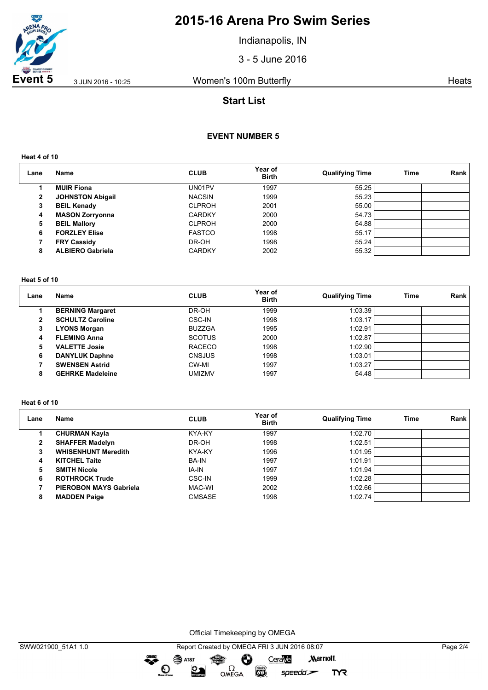

Indianapolis, IN

3 - 5 June 2016

**Event 5** 3 JUN 2016 - 10:25 Women's 100m Butterfly **Southern Streets** Heats

## **Start List**

### **EVENT NUMBER 5**

**Heat 4 of 10**

| Lane         | Name                    | <b>CLUB</b>   | Year of<br><b>Birth</b> | <b>Qualifying Time</b> | Time | <b>Rank</b> |
|--------------|-------------------------|---------------|-------------------------|------------------------|------|-------------|
|              | <b>MUIR Fiona</b>       | UN01PV        | 1997                    | 55.25                  |      |             |
| $\mathbf{2}$ | <b>JOHNSTON Abigail</b> | <b>NACSIN</b> | 1999                    | 55.23                  |      |             |
| 3            | <b>BEIL Kenady</b>      | <b>CLPROH</b> | 2001                    | 55.00                  |      |             |
| 4            | <b>MASON Zorryonna</b>  | <b>CARDKY</b> | 2000                    | 54.73                  |      |             |
| 5            | <b>BEIL Mallory</b>     | <b>CLPROH</b> | 2000                    | 54.88                  |      |             |
| 6            | <b>FORZLEY Elise</b>    | <b>FASTCO</b> | 1998                    | 55.17                  |      |             |
|              | <b>FRY Cassidy</b>      | DR-OH         | 1998                    | 55.24                  |      |             |
| 8            | <b>ALBIERO Gabriela</b> | <b>CARDKY</b> | 2002                    | 55.32                  |      |             |

#### **Heat 5 of 10**

| Lane | <b>Name</b>             | <b>CLUB</b>   | Year of<br><b>Birth</b> | <b>Qualifying Time</b> | Time | Rank |
|------|-------------------------|---------------|-------------------------|------------------------|------|------|
|      | <b>BERNING Margaret</b> | DR-OH         | 1999                    | 1:03.39                |      |      |
| 2    | <b>SCHULTZ Caroline</b> | CSC-IN        | 1998                    | 1:03.17                |      |      |
| 3    | <b>LYONS Morgan</b>     | <b>BUZZGA</b> | 1995                    | 1:02.91                |      |      |
| 4    | <b>FLEMING Anna</b>     | <b>SCOTUS</b> | 2000                    | 1:02.87                |      |      |
| 5    | <b>VALETTE Josie</b>    | <b>RACECO</b> | 1998                    | 1:02.90                |      |      |
| 6    | <b>DANYLUK Daphne</b>   | <b>CNSJUS</b> | 1998                    | 1:03.01                |      |      |
|      | <b>SWENSEN Astrid</b>   | CW-MI         | 1997                    | 1:03.27                |      |      |
| 8    | <b>GEHRKE Madeleine</b> | umizmv        | 1997                    | 54.48                  |      |      |

#### **Heat 6 of 10**

| Lane         | Name                          | <b>CLUB</b>   | Year of<br><b>Birth</b> | <b>Qualifying Time</b> | Time | Rank |
|--------------|-------------------------------|---------------|-------------------------|------------------------|------|------|
|              | <b>CHURMAN Kayla</b>          | KYA-KY        | 1997                    | 1:02.70                |      |      |
| $\mathbf{2}$ | <b>SHAFFER Madelyn</b>        | DR-OH         | 1998                    | 1:02.51                |      |      |
| 3            | <b>WHISENHUNT Meredith</b>    | KYA-KY        | 1996                    | 1:01.95                |      |      |
| 4            | <b>KITCHEL Taite</b>          | <b>BA-IN</b>  | 1997                    | 1:01.91                |      |      |
| 5            | <b>SMITH Nicole</b>           | IA-IN         | 1997                    | 1:01.94                |      |      |
| 6            | <b>ROTHROCK Trude</b>         | CSC-IN        | 1999                    | 1:02.28                |      |      |
|              | <b>PIEROBON MAYS Gabriela</b> | MAC-WI        | 2002                    | 1:02.66                |      |      |
| 8            | <b>MADDEN Paige</b>           | <b>CMSASE</b> | 1998                    | 1:02.74                |      |      |

Official Timekeeping by OMEGA

 $\bullet$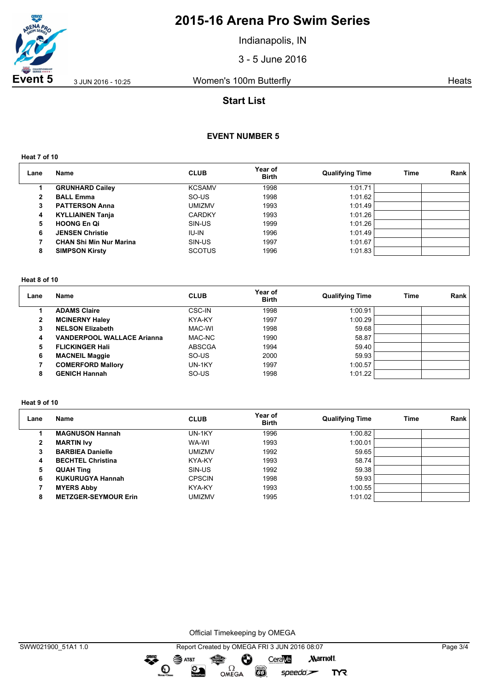

Indianapolis, IN

3 - 5 June 2016

**Event 5** 3 JUN 2016 - 10:25 Women's 100m Butterfly **Southern Streets** Heats

## **Start List**

### **EVENT NUMBER 5**

**Heat 7 of 10**

| Lane | <b>Name</b>                    | <b>CLUB</b>   | Year of<br><b>Birth</b> | <b>Qualifying Time</b> | Time | <b>Rank</b> |
|------|--------------------------------|---------------|-------------------------|------------------------|------|-------------|
|      | <b>GRUNHARD Cailey</b>         | <b>KCSAMV</b> | 1998                    | 1:01.71                |      |             |
| 2    | <b>BALL Emma</b>               | SO-US         | 1998                    | 1:01.62                |      |             |
| 3    | <b>PATTERSON Anna</b>          | umizmv        | 1993                    | 1:01.49                |      |             |
| 4    | <b>KYLLIAINEN Tanja</b>        | <b>CARDKY</b> | 1993                    | 1:01.26                |      |             |
| 5    | <b>HOONG En Qi</b>             | SIN-US        | 1999                    | 1:01.26                |      |             |
| 6    | <b>JENSEN Christie</b>         | IU-IN         | 1996                    | 1:01.49                |      |             |
|      | <b>CHAN Shi Min Nur Marina</b> | SIN-US        | 1997                    | 1:01.67                |      |             |
| 8    | <b>SIMPSON Kirsty</b>          | <b>SCOTUS</b> | 1996                    | 1:01.83                |      |             |

#### **Heat 8 of 10**

| Lane | Name                              | <b>CLUB</b>   | Year of<br><b>Birth</b> | <b>Qualifying Time</b> | Time | Rank |
|------|-----------------------------------|---------------|-------------------------|------------------------|------|------|
|      | <b>ADAMS Claire</b>               | CSC-IN        | 1998                    | 1:00.91                |      |      |
| 2    | <b>MCINERNY Haley</b>             | KYA-KY        | 1997                    | 1:00.29                |      |      |
|      | <b>NELSON Elizabeth</b>           | MAC-WI        | 1998                    | 59.68                  |      |      |
| 4    | <b>VANDERPOOL WALLACE Arianna</b> | MAC-NC        | 1990                    | 58.87                  |      |      |
| 5    | <b>FLICKINGER Hall</b>            | <b>ABSCGA</b> | 1994                    | 59.40                  |      |      |
| 6    | <b>MACNEIL Maggie</b>             | SO-US         | 2000                    | 59.93                  |      |      |
|      | <b>COMERFORD Mallory</b>          | UN-1KY        | 1997                    | 1:00.57                |      |      |
| 8    | <b>GENICH Hannah</b>              | SO-US         | 1998                    | 1:01.22                |      |      |

#### **Heat 9 of 10**

| Lane         | <b>Name</b>                 | <b>CLUB</b>   | Year of<br><b>Birth</b> | <b>Qualifying Time</b> | <b>Time</b> | Rank |
|--------------|-----------------------------|---------------|-------------------------|------------------------|-------------|------|
|              | <b>MAGNUSON Hannah</b>      | UN-1KY        | 1996                    | 1:00.82                |             |      |
| $\mathbf{2}$ | <b>MARTIN Ivy</b>           | WA-WI         | 1993                    | 1:00.01                |             |      |
| 3            | <b>BARBIEA Danielle</b>     | <b>UMIZMV</b> | 1992                    | 59.65                  |             |      |
| 4            | <b>BECHTEL Christina</b>    | KYA-KY        | 1993                    | 58.74                  |             |      |
| 5            | <b>QUAH Ting</b>            | SIN-US        | 1992                    | 59.38                  |             |      |
| 6            | <b>KUKURUGYA Hannah</b>     | <b>CPSCIN</b> | 1998                    | 59.93                  |             |      |
|              | <b>MYERS Abby</b>           | KYA-KY        | 1993                    | 1:00.55                |             |      |
| 8            | <b>METZGER-SEYMOUR Erin</b> | <b>UMIZMV</b> | 1995                    | 1:01.02                |             |      |

Official Timekeeping by OMEGA

dreng: